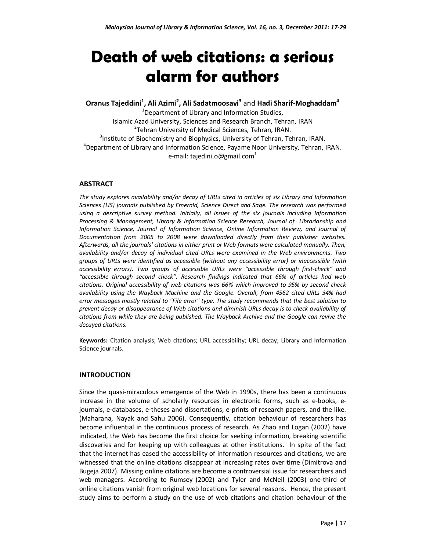# **Death of web citations: a serious alarm for authors**

**Oranus Tajeddini<sup>1</sup> , Ali Azimi<sup>2</sup> , Ali Sadatmoosavi<sup>3</sup>** and **Hadi Sharif-Moghaddam<sup>4</sup>**

 $1$ Department of Library and Information Studies, Islamic Azad University, Sciences and Research Branch, Tehran, IRAN <sup>2</sup>Tehran University of Medical Sciences, Tehran, IRAN. <sup>3</sup>Institute of Biochemistry and Biophysics, University of Tehran, Tehran, IRAN. <sup>4</sup>Department of Library and Information Science, Payame Noor University, Tehran, IRAN. e-mail: tajedini.o@gmail.com $1$ 

# **ABSTRACT**

*The study explores availability and/or decay of URLs cited in articles of six Library and Information Sciences (LIS) journals published by Emerald, Science Direct and Sage. The research was performed using a descriptive survey method. Initially, all issues of the six journals including Information Processing & Management, Library & Information Science Research, Journal of Librarianship and Information Science, Journal of Information Science, Online Information Review, and Journal of Documentation from 2005 to 2008 were downloaded directly from their publisher websites. Afterwards, all the journals' citations in either print or Web formats were calculated manually. Then, availability and/or decay of individual cited URLs were examined in the Web environments. Two groups of URLs were identified as accessible (without any accessibility error) or inaccessible (with accessibility errors). Two groups of accessible URLs were "accessible through first-check" and "accessible through second check". Research findings indicated that 66% of articles had web citations. Original accessibility of web citations was 66% which improved to 95% by second check availability using the Wayback Machine and the Google. Overall, from 4562 cited URLs 34% had error messages mostly related to "File error" type. The study recommends that the best solution to prevent decay or disappearance of Web citations and diminish URLs decay is to check availability of citations from while they are being published. The Wayback Archive and the Google can revive the decayed citations.* 

**Keywords:** Citation analysis; Web citations; URL accessibility; URL decay; Library and Information Science journals.

## **INTRODUCTION**

Since the quasi-miraculous emergence of the Web in 1990s, there has been a continuous increase in the volume of scholarly resources in electronic forms, such as e-books, ejournals, e-databases, e-theses and dissertations, e-prints of research papers, and the like. (Maharana, Nayak and Sahu 2006). Consequently, citation behaviour of researchers has become influential in the continuous process of research. As Zhao and Logan (2002) have indicated, the Web has become the first choice for seeking information, breaking scientific discoveries and for keeping up with colleagues at other institutions. In spite of the fact that the internet has eased the accessibility of information resources and citations, we are witnessed that the online citations disappear at increasing rates over time (Dimitrova and Bugeja 2007). Missing online citations are become a controversial issue for researchers and web managers. According to Rumsey (2002) and Tyler and McNeil (2003) one-third of online citations vanish from original web locations for several reasons. Hence, the present study aims to perform a study on the use of web citations and citation behaviour of the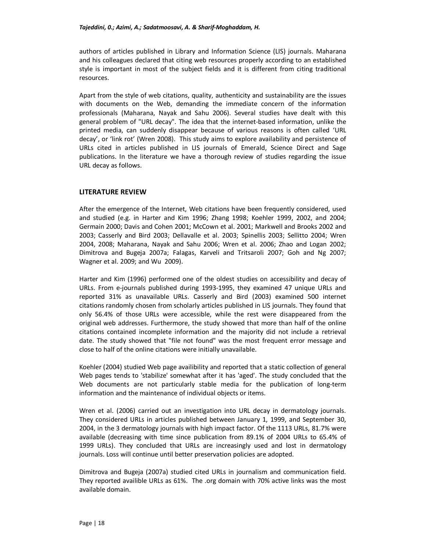authors of articles published in Library and Information Science (LIS) journals. Maharana and his colleagues declared that citing web resources properly according to an established style is important in most of the subject fields and it is different from citing traditional resources.

Apart from the style of web citations, quality, authenticity and sustainability are the issues with documents on the Web, demanding the immediate concern of the information professionals (Maharana, Nayak and Sahu 2006). Several studies have dealt with this general problem of "URL decay". The idea that the internet-based information, unlike the printed media, can suddenly disappear because of various reasons is often called 'URL decay', or 'link rot' (Wren 2008). This study aims to explore availability and persistence of URLs cited in articles published in LIS journals of Emerald, Science Direct and Sage publications. In the literature we have a thorough review of studies regarding the issue URL decay as follows.

# **LITERATURE REVIEW**

After the emergence of the Internet, Web citations have been frequently considered, used and studied (e.g. in Harter and Kim 1996; Zhang 1998; Koehler 1999, 2002, and 2004; Germain 2000; Davis and Cohen 2001; McCown et al. 2001; Markwell and Brooks 2002 and 2003; Casserly and Bird 2003; Dellavalle et al. 2003; Spinellis 2003; Sellitto 2004; Wren 2004, 2008; Maharana, Nayak and Sahu 2006; Wren et al. 2006; Zhao and Logan 2002; Dimitrova and Bugeja 2007a; Falagas, Karveli and Tritsaroli 2007; Goh and Ng 2007; Wagner et al. 2009; and Wu 2009).

Harter and Kim (1996) performed one of the oldest studies on accessibility and decay of URLs. From e-journals published during 1993-1995, they examined 47 unique URLs and reported 31% as unavailable URLs. Casserly and Bird (2003) examined 500 internet citations randomly chosen from scholarly articles published in LIS journals. They found that only 56.4% of those URLs were accessible, while the rest were disappeared from the original web addresses. Furthermore, the study showed that more than half of the online citations contained incomplete information and the majority did not include a retrieval date. The study showed that "file not found" was the most frequent error message and close to half of the online citations were initially unavailable.

Koehler (2004) studied Web page availibility and reported that a static collection of general Web pages tends to 'stabilize' somewhat after it has 'aged'. The study concluded that the Web documents are not particularly stable media for the publication of long-term information and the maintenance of individual objects or items.

Wren et al. (2006) carried out an investigation into URL decay in dermatology journals. They considered URLs in articles published between January 1, 1999, and September 30, 2004, in the 3 dermatology journals with high impact factor. Of the 1113 URLs, 81.7% were available (decreasing with time since publication from 89.1% of 2004 URLs to 65.4% of 1999 URLs). They concluded that URLs are increasingly used and lost in dermatology journals. Loss will continue until better preservation policies are adopted.

Dimitrova and Bugeja (2007a) studied cited URLs in journalism and communication field. They reported availible URLs as 61%. The .org domain with 70% active links was the most available domain.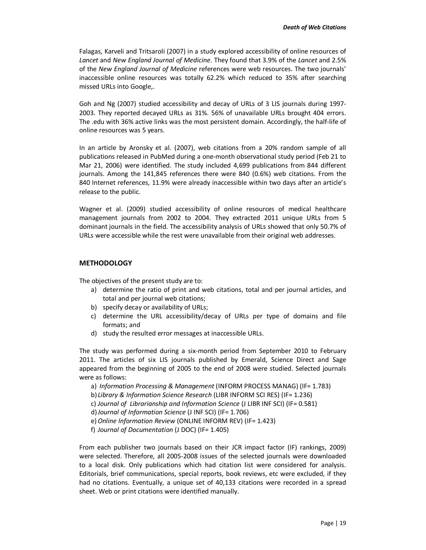Falagas, Karveli and Tritsaroli (2007) in a study explored accessibility of online resources of *Lancet* and *New England Journal of Medicine*. They found that 3.9% of the *Lancet* and 2.5% of the *New England Journal of Medicine* references were web resources. The two journals' inaccessible online resources was totally 62.2% which reduced to 35% after searching missed URLs into Google,.

Goh and Ng (2007) studied accessibility and decay of URLs of 3 LIS journals during 1997- 2003. They reported decayed URLs as 31%. 56% of unavailable URLs brought 404 errors. The .edu with 36% active links was the most persistent domain. Accordingly, the half-life of online resources was 5 years.

In an article by Aronsky et al. (2007), web citations from a 20% random sample of all publications released in PubMed during a one-month observational study period (Feb 21 to Mar 21, 2006) were identified. The study included 4,699 publications from 844 different journals. Among the 141,845 references there were 840 (0.6%) web citations. From the 840 Internet references, 11.9% were already inaccessible within two days after an article's release to the public.

Wagner et al. (2009) studied accessibility of online resources of medical healthcare management journals from 2002 to 2004. They extracted 2011 unique URLs from 5 dominant journals in the field. The accessibility analysis of URLs showed that only 50.7% of URLs were accessible while the rest were unavailable from their original web addresses.

# **METHODOLOGY**

The objectives of the present study are to:

- a) determine the ratio of print and web citations, total and per journal articles, and total and per journal web citations;
- b) specify decay or availability of URLs;
- c) determine the URL accessibility/decay of URLs per type of domains and file formats; and
- d) study the resulted error messages at inaccessible URLs.

The study was performed during a six-month period from September 2010 to February 2011. The articles of six LIS journals published by Emerald, Science Direct and Sage appeared from the beginning of 2005 to the end of 2008 were studied. Selected journals were as follows:

a) *Information Processing & Management* (INFORM PROCESS MANAG) (IF= 1.783)

b) *Library & Information Science Research* (LIBR INFORM SCI RES) (IF= 1.236)

c) *Journal of Librarianship and Information Science* (J LIBR INF SCI) (IF= 0.581)

d)*Journal of Information Science* (J INF SCI) (IF= 1.706)

e)*Online Information Review* (ONLINE INFORM REV) (IF= 1.423)

f) *Journal of Documentation* (J DOC) (IF= 1.405)

From each publisher two journals based on their JCR impact factor (IF) rankings, 2009) were selected. Therefore, all 2005-2008 issues of the selected journals were downloaded to a local disk. Only publications which had citation list were considered for analysis. Editorials, brief communications, special reports, book reviews, etc were excluded, if they had no citations. Eventually, a unique set of 40,133 citations were recorded in a spread sheet. Web or print citations were identified manually.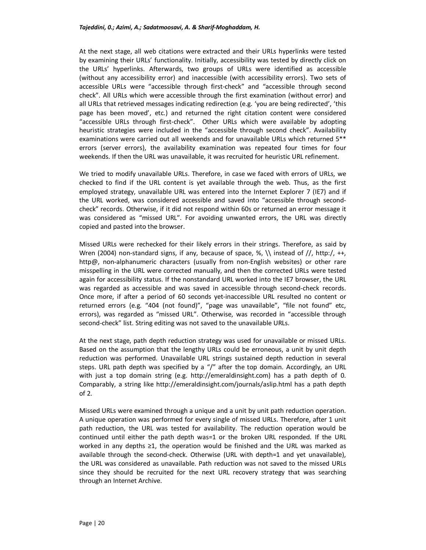At the next stage, all web citations were extracted and their URLs hyperlinks were tested by examining their URLs' functionality. Initially, accessibility was tested by directly click on the URLs' hyperlinks. Afterwards, two groups of URLs were identified as accessible (without any accessibility error) and inaccessible (with accessibility errors). Two sets of accessible URLs were "accessible through first-check" and "accessible through second check". All URLs which were accessible through the first examination (without error) and all URLs that retrieved messages indicating redirection (e.g. 'you are being redirected', 'this page has been moved', etc.) and returned the right citation content were considered "accessible URLs through first-check". Other URLs which were available by adopting heuristic strategies were included in the "accessible through second check". Availability examinations were carried out all weekends and for unavailable URLs which returned 5\*\* errors (server errors), the availability examination was repeated four times for four weekends. If then the URL was unavailable, it was recruited for heuristic URL refinement.

We tried to modify unavailable URLs. Therefore, in case we faced with errors of URLs, we checked to find if the URL content is yet available through the web. Thus, as the first employed strategy, unavailable URL was entered into the Internet Explorer 7 (IE7) and if the URL worked, was considered accessible and saved into "accessible through secondcheck" records. Otherwise, if it did not respond within 60s or returned an error message it was considered as "missed URL". For avoiding unwanted errors, the URL was directly copied and pasted into the browser.

Missed URLs were rechecked for their likely errors in their strings. Therefore, as said by Wren (2004) non-standard signs, if any, because of space, %,  $\iota$  instead of //, http:/, ++, http@, non-alphanumeric characters (usually from non-English websites) or other rare misspelling in the URL were corrected manually, and then the corrected URLs were tested again for accessibility status. If the nonstandard URL worked into the IE7 browser, the URL was regarded as accessible and was saved in accessible through second-check records. Once more, if after a period of 60 seconds yet-inaccessible URL resulted no content or returned errors (e.g. "404 (not found)", "page was unavailable", "file not found" etc, errors), was regarded as "missed URL". Otherwise, was recorded in "accessible through second-check" list. String editing was not saved to the unavailable URLs.

At the next stage, path depth reduction strategy was used for unavailable or missed URLs. Based on the assumption that the lengthy URLs could be erroneous, a unit by unit depth reduction was performed. Unavailable URL strings sustained depth reduction in several steps. URL path depth was specified by a "/" after the top domain. Accordingly, an URL with just a top domain string (e.g. http://emeraldinsight.com) has a path depth of 0. Comparably, a string like http://emeraldinsight.com/journals/aslip.html has a path depth of 2.

Missed URLs were examined through a unique and a unit by unit path reduction operation. A unique operation was performed for every single of missed URLs. Therefore, after 1 unit path reduction, the URL was tested for availability. The reduction operation would be continued until either the path depth was=1 or the broken URL responded. If the URL worked in any depths ≥1, the operation would be finished and the URL was marked as available through the second-check. Otherwise (URL with depth=1 and yet unavailable), the URL was considered as unavailable. Path reduction was not saved to the missed URLs since they should be recruited for the next URL recovery strategy that was searching through an Internet Archive.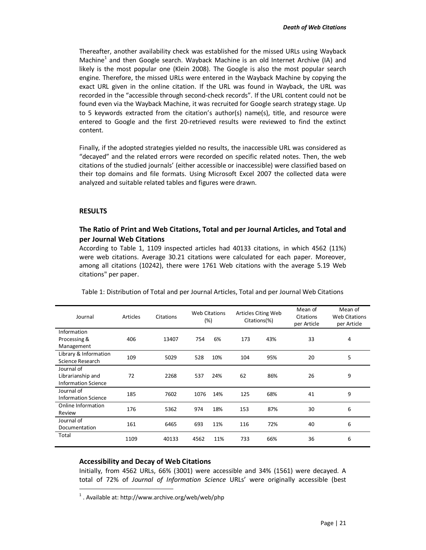Thereafter, another availability check was established for the missed URLs using Wayback Machine<sup>1</sup> and then Google search. Wayback Machine is an old Internet Archive (IA) and likely is the most popular one (Klein 2008). The Google is also the most popular search engine. Therefore, the missed URLs were entered in the Wayback Machine by copying the exact URL given in the online citation. If the URL was found in Wayback, the URL was recorded in the "accessible through second-check records". If the URL content could not be found even via the Wayback Machine, it was recruited for Google search strategy stage. Up to 5 keywords extracted from the citation's author(s) name(s), title, and resource were entered to Google and the first 20-retrieved results were reviewed to find the extinct content.

Finally, if the adopted strategies yielded no results, the inaccessible URL was considered as "decayed" and the related errors were recorded on specific related notes. Then, the web citations of the studied journals' (either accessible or inaccessible) were classified based on their top domains and file formats. Using Microsoft Excel 2007 the collected data were analyzed and suitable related tables and figures were drawn.

## **RESULTS**

 $\overline{a}$ 

# **The Ratio of Print and Web Citations, Total and per Journal Articles, and Total and per Journal Web Citations**

According to Table 1, 1109 inspected articles had 40133 citations, in which 4562 (11%) were web citations. Average 30.21 citations were calculated for each paper. Moreover, among all citations (10242), there were 1761 Web citations with the average 5.19 Web citations" per paper.

| Journal                                                       | Articles | Citations | <b>Web Citations</b><br>(%) |     | Articles Citing Web<br>Citations(%) |     | Mean of<br>Citations<br>per Article | Mean of<br><b>Web Citations</b><br>per Article |
|---------------------------------------------------------------|----------|-----------|-----------------------------|-----|-------------------------------------|-----|-------------------------------------|------------------------------------------------|
| Information<br>Processing &<br>Management                     | 406      | 13407     | 754                         | 6%  | 173                                 | 43% | 33                                  | 4                                              |
| Library & Information<br>Science Research                     | 109      | 5029      | 528                         | 10% | 104                                 | 95% | 20                                  | 5                                              |
| Journal of<br>Librarianship and<br><b>Information Science</b> | 72       | 2268      | 537                         | 24% | 62                                  | 86% | 26                                  | 9                                              |
| Journal of<br><b>Information Science</b>                      | 185      | 7602      | 1076                        | 14% | 125                                 | 68% | 41                                  | 9                                              |
| Online Information<br>Review                                  | 176      | 5362      | 974                         | 18% | 153                                 | 87% | 30                                  | 6                                              |
| Journal of<br>Documentation                                   | 161      | 6465      | 693                         | 11% | 116                                 | 72% | 40                                  | 6                                              |
| Total                                                         | 1109     | 40133     | 4562                        | 11% | 733                                 | 66% | 36                                  | 6                                              |

Table 1: Distribution of Total and per Journal Articles, Total and per Journal Web Citations

#### **Accessibility and Decay of Web Citations**

Initially, from 4562 URLs, 66% (3001) were accessible and 34% (1561) were decayed. A total of 72% of *Journal of Information Science* URLs' were originally accessible (best

 $1$ . Available at: http://www.archive.org/web/web/php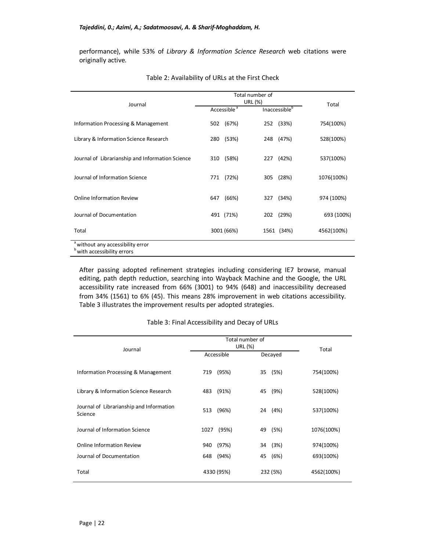performance), while 53% of *Library & Information Science Research* web citations were originally active.

|                                                                                        |                         | Total number of |            |  |
|----------------------------------------------------------------------------------------|-------------------------|-----------------|------------|--|
|                                                                                        | URL (%)                 |                 |            |  |
| Journal                                                                                | Accessible <sup>a</sup> | Inaccessibleb   | Total      |  |
| Information Processing & Management                                                    | (67%)<br>502            | (33%)<br>252    | 754(100%)  |  |
| Library & Information Science Research                                                 | (53%)<br>280            | 248<br>(47%)    | 528(100%)  |  |
| Journal of Librarianship and Information Science                                       | (58%)<br>310            | (42%)<br>227    | 537(100%)  |  |
| Journal of Information Science                                                         | (72%)<br>771            | (28%)<br>305    | 1076(100%) |  |
| <b>Online Information Review</b>                                                       | (66%)<br>647            | (34%)<br>327    | 974 (100%) |  |
| Journal of Documentation                                                               | 491 (71%)               | (29%)<br>202    | 693 (100%) |  |
| Total                                                                                  | 3001 (66%)              | 1561 (34%)      | 4562(100%) |  |
| <sup>a</sup> without any accessibility error<br><sup>b</sup> with accessibility errors |                         |                 |            |  |

| Table 2: Availability of URLs at the First Check |  |  |  |  |  |  |
|--------------------------------------------------|--|--|--|--|--|--|
|--------------------------------------------------|--|--|--|--|--|--|

After passing adopted refinement strategies including considering IE7 browse, manual editing, path depth reduction, searching into Wayback Machine and the Google, the URL accessibility rate increased from 66% (3001) to 94% (648) and inaccessibility decreased from 34% (1561) to 6% (45). This means 28% improvement in web citations accessibility. Table 3 illustrates the improvement results per adopted strategies.

#### Table 3: Final Accessibility and Decay of URLs

| Journal                                             | Total number of<br>URL (%) | Total      |            |
|-----------------------------------------------------|----------------------------|------------|------------|
|                                                     | Accessible                 | Decayed    |            |
| Information Processing & Management                 | (95%)<br>719               | (5%)<br>35 | 754(100%)  |
| Library & Information Science Research              | (91%)<br>483               | (9%)<br>45 | 528(100%)  |
| Journal of Librarianship and Information<br>Science | (96%)<br>513               | (4%)<br>24 | 537(100%)  |
| Journal of Information Science                      | (95%)<br>1027              | (5%)<br>49 | 1076(100%) |
| <b>Online Information Review</b>                    | (97%)<br>940               | (3%)<br>34 | 974(100%)  |
| Journal of Documentation                            | 648<br>(94%)               | (6%)<br>45 | 693(100%)  |
| Total                                               | 4330 (95%)                 | 232 (5%)   | 4562(100%) |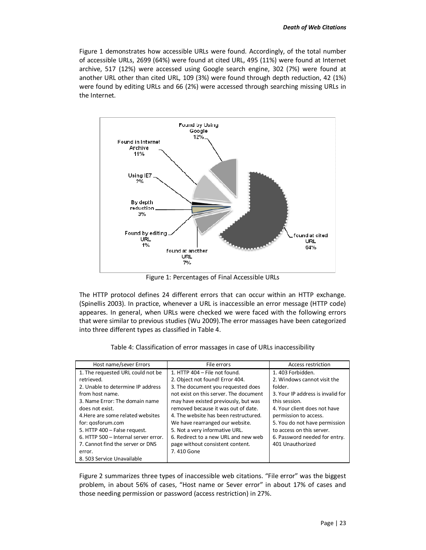Figure 1 demonstrates how accessible URLs were found. Accordingly, of the total number of accessible URLs, 2699 (64%) were found at cited URL, 495 (11%) were found at Internet archive, 517 (12%) were accessed using Google search engine, 302 (7%) were found at another URL other than cited URL, 109 (3%) were found through depth reduction, 42 (1%) were found by editing URLs and 66 (2%) were accessed through searching missing URLs in the Internet.



Figure 1: Percentages of Final Accessible URLs

The HTTP protocol defines 24 different errors that can occur within an HTTP exchange. (Spinellis 2003). In practice, whenever a URL is inaccessible an error message (HTTP code) appeares. In general, when URLs were checked we were faced with the following errors that were similar to previous studies (Wu 2009).The error massages have been categorized into three different types as classified in Table 4.

| Host name/sever Errors               | File errors                            | Access restriction                |
|--------------------------------------|----------------------------------------|-----------------------------------|
| 1. The requested URL could not be    | 1. HTTP 404 - File not found.          | 1.403 Forbidden.                  |
| retrieved.                           | 2. Object not found! Error 404.        | 2. Windows cannot visit the       |
| 2. Unable to determine IP address    | 3. The document you requested does     | folder.                           |
| from host name.                      | not exist on this server. The document | 3. Your IP address is invalid for |
| 3. Name Error: The domain name       | may have existed previously, but was   | this session.                     |
| does not exist.                      | removed because it was out of date.    | 4. Your client does not have      |
| 4. Here are some related websites    | 4. The website has been restructured.  | permission to access.             |
| for: gosforum.com                    | We have rearranged our website.        | 5. You do not have permission     |
| 5. HTTP 400 - False request.         | 5. Not a very informative URL.         | to access on this server.         |
| 6. HTTP 500 - Internal server error. | 6. Redirect to a new URL and new web   | 6. Password needed for entry.     |
| 7. Cannot find the server or DNS     | page without consistent content.       | 401 Unauthorized                  |
| error.                               | 7.410 Gone                             |                                   |
| 8. 503 Service Unavailable           |                                        |                                   |

| Table 4: Classification of error massages in case of URLs inaccessibility |
|---------------------------------------------------------------------------|
|---------------------------------------------------------------------------|

Figure 2 summarizes three types of inaccessible web citations. "File error" was the biggest problem, in about 56% of cases, "Host name or Sever error" in about 17% of cases and those needing permission or password (access restriction) in 27%.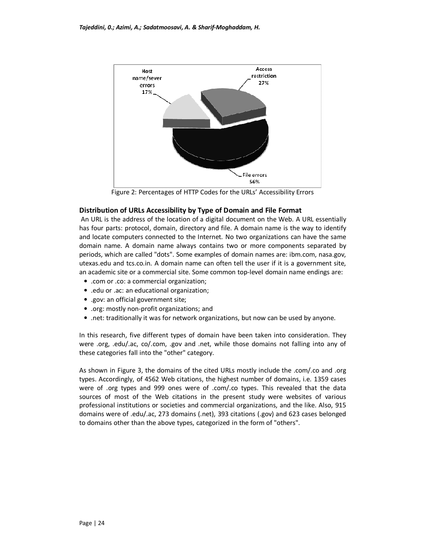

Figure 2: Percentages of HTTP Codes for the URLs' Accessibility Errors

## **Distribution of URLs Accessibility by Type of Domain and File Format**

 An URL is the address of the location of a digital document on the Web. A URL essentially has four parts: protocol, domain, directory and file. A domain name is the way to identify and locate computers connected to the Internet. No two organizations can have the same domain name. A domain name always contains two or more components separated by periods, which are called "dots". Some examples of domain names are: ibm.com, nasa.gov, utexas.edu and tcs.co.in. A domain name can often tell the user if it is a government site, an academic site or a commercial site. Some common top-level domain name endings are:

- .com or .co: a commercial organization;
- .edu or .ac: an educational organization;
- .gov: an official government site;
- .org: mostly non-profit organizations; and
- .net: traditionally it was for network organizations, but now can be used by anyone.

In this research, five different types of domain have been taken into consideration. They were .org, .edu/.ac, co/.com, .gov and .net, while those domains not falling into any of these categories fall into the "other" category.

As shown in Figure 3, the domains of the cited URLs mostly include the .com/.co and .org types. Accordingly, of 4562 Web citations, the highest number of domains, i.e. 1359 cases were of .org types and 999 ones were of .com/.co types. This revealed that the data sources of most of the Web citations in the present study were websites of various professional institutions or societies and commercial organizations, and the like. Also, 915 domains were of .edu/.ac, 273 domains (.net), 393 citations (.gov) and 623 cases belonged to domains other than the above types, categorized in the form of "others".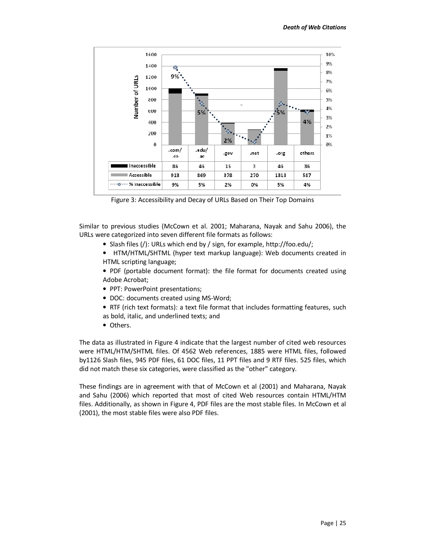

Figure 3: Accessibility and Decay of URLs Based on Their Top Domains

Similar to previous studies (McCown et al. 2001; Maharana, Nayak and Sahu 2006), the URLs were categorized into seven different file formats as follows:

- Slash files (/): URLs which end by / sign, for example, http://foo.edu/;
- HTM/HTML/SHTML (hyper text markup language): Web documents created in HTML scripting language;
- PDF (portable document format): the file format for documents created using Adobe Acrobat;
- PPT: PowerPoint presentations;
- DOC: documents created using MS-Word;
- RTF (rich text formats): a text file format that includes formatting features, such as bold, italic, and underlined texts; and
- Others.

The data as illustrated in Figure 4 indicate that the largest number of cited web resources were HTML/HTM/SHTML files. Of 4562 Web references, 1885 were HTML files, followed by1126 Slash files, 945 PDF files, 61 DOC files, 11 PPT files and 9 RTF files. 525 files, which did not match these six categories, were classified as the "other" category.

These findings are in agreement with that of McCown et al (2001) and Maharana, Nayak and Sahu (2006) which reported that most of cited Web resources contain HTML/HTM files. Additionally, as shown in Figure 4, PDF files are the most stable files. In McCown et al (2001), the most stable files were also PDF files.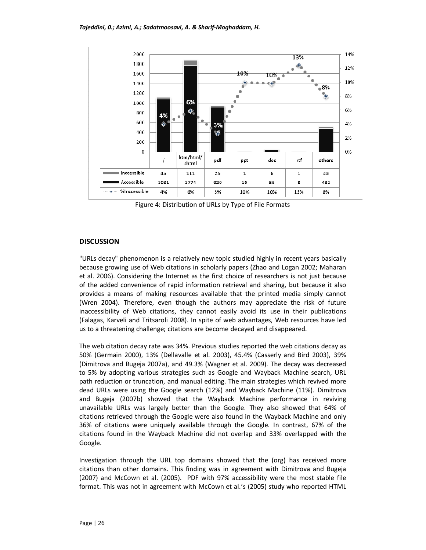

Figure 4: Distribution of URLs by Type of File Formats

# **DISCUSSION**

"URLs decay" phenomenon is a relatively new topic studied highly in recent years basically because growing use of Web citations in scholarly papers (Zhao and Logan 2002; Maharan et al. 2006). Considering the Internet as the first choice of researchers is not just because of the added convenience of rapid information retrieval and sharing, but because it also provides a means of making resources available that the printed media simply cannot (Wren 2004). Therefore, even though the authors may appreciate the risk of future inaccessibility of Web citations, they cannot easily avoid its use in their publications (Falagas, Karveli and Tritsaroli 2008). In spite of web advantages, Web resources have led us to a threatening challenge; citations are become decayed and disappeared.

The web citation decay rate was 34%. Previous studies reported the web citations decay as 50% (Germain 2000), 13% (Dellavalle et al. 2003), 45.4% (Casserly and Bird 2003), 39% (Dimitrova and Bugeja 2007a), and 49.3% (Wagner et al. 2009). The decay was decreased to 5% by adopting various strategies such as Google and Wayback Machine search, URL path reduction or truncation, and manual editing. The main strategies which revived more dead URLs were using the Google search (12%) and Wayback Machine (11%). Dimitrova and Bugeja (2007b) showed that the Wayback Machine performance in reviving unavailable URLs was largely better than the Google. They also showed that 64% of citations retrieved through the Google were also found in the Wayback Machine and only 36% of citations were uniquely available through the Google. In contrast, 67% of the citations found in the Wayback Machine did not overlap and 33% overlapped with the Google.

Investigation through the URL top domains showed that the (org) has received more citations than other domains. This finding was in agreement with Dimitrova and Bugeja (2007) and McCown et al. (2005). PDF with 97% accessibility were the most stable file format. This was not in agreement with McCown et al.'s (2005) study who reported HTML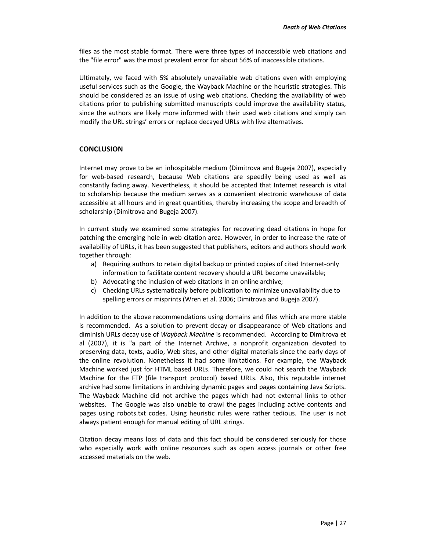files as the most stable format. There were three types of inaccessible web citations and the "file error" was the most prevalent error for about 56% of inaccessible citations.

Ultimately, we faced with 5% absolutely unavailable web citations even with employing useful services such as the Google, the Wayback Machine or the heuristic strategies. This should be considered as an issue of using web citations. Checking the availability of web citations prior to publishing submitted manuscripts could improve the availability status, since the authors are likely more informed with their used web citations and simply can modify the URL strings' errors or replace decayed URLs with live alternatives.

# **CONCLUSION**

Internet may prove to be an inhospitable medium (Dimitrova and Bugeja 2007), especially for web-based research, because Web citations are speedily being used as well as constantly fading away. Nevertheless, it should be accepted that Internet research is vital to scholarship because the medium serves as a convenient electronic warehouse of data accessible at all hours and in great quantities, thereby increasing the scope and breadth of scholarship (Dimitrova and Bugeja 2007).

In current study we examined some strategies for recovering dead citations in hope for patching the emerging hole in web citation area. However, in order to increase the rate of availability of URLs, it has been suggested that publishers, editors and authors should work together through:

- a) Requiring authors to retain digital backup or printed copies of cited Internet-only information to facilitate content recovery should a URL become unavailable;
- b) Advocating the inclusion of web citations in an online archive;
- c) Checking URLs systematically before publication to minimize unavailability due to spelling errors or misprints (Wren et al. 2006; Dimitrova and Bugeja 2007).

In addition to the above recommendations using domains and files which are more stable is recommended. As a solution to prevent decay or disappearance of Web citations and diminish URLs decay use of *Wayback Machine* is recommended. According to Dimitrova et al (2007), it is "a part of the Internet Archive, a nonprofit organization devoted to preserving data, texts, audio, Web sites, and other digital materials since the early days of the online revolution. Nonetheless it had some limitations. For example, the Wayback Machine worked just for HTML based URLs. Therefore, we could not search the Wayback Machine for the FTP (file transport protocol) based URLs. Also, this reputable internet archive had some limitations in archiving dynamic pages and pages containing Java Scripts. The Wayback Machine did not archive the pages which had not external links to other websites. The Google was also unable to crawl the pages including active contents and pages using robots.txt codes. Using heuristic rules were rather tedious. The user is not always patient enough for manual editing of URL strings.

Citation decay means loss of data and this fact should be considered seriously for those who especially work with online resources such as open access journals or other free accessed materials on the web.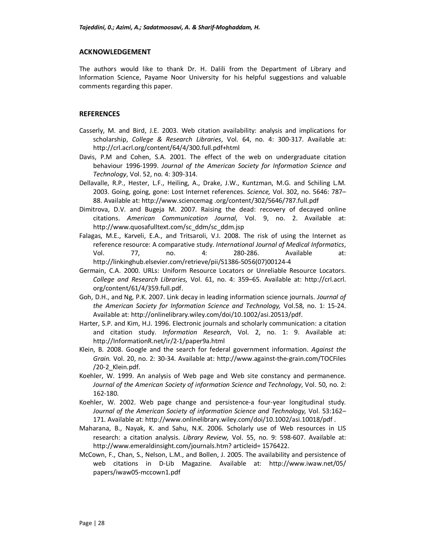### **ACKNOWLEDGEMENT**

The authors would like to thank Dr. H. Dalili from the Department of Library and Information Science, Payame Noor University for his helpful suggestions and valuable comments regarding this paper.

## **REFERENCES**

- Casserly, M. and Bird, J.E. 2003. Web citation availability: analysis and implications for scholarship, *College & Research Libraries*, Vol. 64, no. 4: 300-317. Available at: http://crl.acrl.org/content/64/4/300.full.pdf+html
- Davis, P.M and Cohen, S.A. 2001. The effect of the web on undergraduate citation behaviour 1996-1999. *Journal of the American Society for Information Science and Technology*, Vol. 52, no. 4: 309-314.
- Dellavalle, R.P., Hester, L.F., Heiling, A., Drake, J.W., Kuntzman, M.G. and Schiling L.M. 2003. Going, going, gone: Lost Internet references. *Science,* Vol. 302, no. 5646: 787– 88. Available at: http://www.sciencemag .org/content/302/5646/787.full.pdf
- Dimitrova, D.V. and Bugeja M. 2007. Raising the dead: recovery of decayed online citations. *American Communication Journal,* Vol. 9, no. 2. Available at: http://www.quosafulltext.com/sc\_ddm/sc\_ddm.jsp
- Falagas, M.E., Karveli, E.A., and Tritsaroli, V.I. 2008. The risk of using the Internet as reference resource: A comparative study. *International Journal of Medical Informatics*, Vol. 77, no. 4: 280-286. Available at: http://linkinghub.elsevier.com/retrieve/pii/S1386-5056(07)00124-4
- Germain, C.A. 2000. URLs: Uniform Resource Locators or Unreliable Resource Locators. *College and Research Libraries,* Vol. 61, no. 4: 359–65. Available at: http://crl.acrl. org/content/61/4/359.full.pdf.
- Goh, D.H., and Ng, P.K. 2007. Link decay in leading information science journals. *Journal of the American Society for Information Science and Technology,* Vol.58, no. 1: 15-24. Available at: http://onlinelibrary.wiley.com/doi/10.1002/asi.20513/pdf.
- Harter, S.P. and Kim, H.J. 1996. Electronic journals and scholarly communication: a citation and citation study. *Information Research*, Vol. 2, no. 1: 9. Available at: http://InformationR.net/ir/2-1/paper9a.html
- Klein, B. 2008. Google and the search for federal government information. *Against the Grain.* Vol. 20, no. 2: 30-34. Available at: http://www.against-the-grain.com/TOCFiles /20-2\_Klein.pdf.
- Koehler, W. 1999. An analysis of Web page and Web site constancy and permanence. *Journal of the American Society of information Science and Technology*, Vol. 50, no. 2: 162-180.
- Koehler, W. 2002. Web page change and persistence-a four-year longitudinal study. *Journal of the American Society of information Science and Technology,* Vol. 53:162– 171. Available at: http://www.onlinelibrary.wiley.com/doi/10.1002/asi.10018/pdf .
- Maharana, B., Nayak, K. and Sahu, N.K. 2006. Scholarly use of Web resources in LIS research: a citation analysis. *Library Review,* Vol. 55, no. 9: 598-607. Available at: http://www.emeraldinsight.com/journals.htm? articleid= 1576422.
- McCown, F., Chan, S., Nelson, L.M., and Bollen, J. 2005. The availability and persistence of web citations in D-Lib Magazine. Available at: http://www.iwaw.net/05/ papers/iwaw05-mccown1.pdf